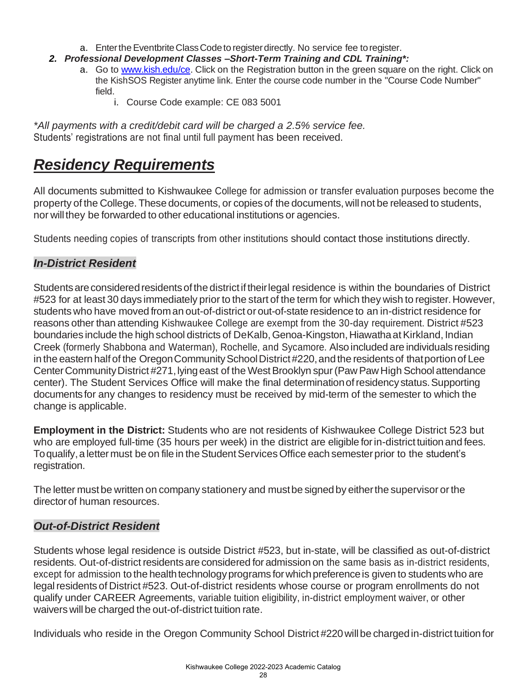## *Residency Requirements*

All documents submitted to Kishwaukee College for admission or transfer evaluation purposes become the property of the College. These documents, or copies of the documents,willnot be released to students, nor will they be forwarded to other educational institutions or agencies.

Students needing copies of transcripts from other institutions should contact those institutions directly.

## *In-District Resident*

Students are considered residents of the district if their legal residence is within the boundaries of District #523 for at least 30 days immediately prior to the start of the term for which they wish to register.However, students who have moved froman out-of-district or out-of-state residence to an in-district residence for reasons other than attending Kishwaukee College are exempt from the 30-day requirement. District #523 boundaries include the high school districts of DeKalb, Genoa-Kingston, Hiawatha at Kirkland, Indian Creek (formerly Shabbona and Waterman), Rochelle, and Sycamore. Alsoincluded are individuals residing in the eastern half of the Oregon Community School District #220, and the residents of that portion of Lee Center Community District #271, lying east of the West Brooklyn spur (Paw Paw High School attendance center). The Student Services Office will make the final determination of residency status. Supporting documents for any changes to residency must be received by mid-term of the semester to which the change is applicable.

**Employment in the District:** Students who are not residents of Kishwaukee College District 523 but who are employed full-time (35 hours per week) in the district are eligible for in-district tuition and fees. To qualify, a letter must be on file in the Student Services Office each semester prior to the student's registration.

The letter must be written on company stationery and mustbe signedby eitherthe supervisor orthe director of human resources.

## *Out-of-District Resident*

Students whose legal residence is outside District #523, but in-state, will be classified as out-of-district residents. Out-of-district residents are considered for admission on the same basis as in-district residents, except for admission to the health technology programs for which preference is given to students who are legal residents of District #523. Out-of-district residents whose course or program enrollments do not qualify under CAREER Agreements, variable tuition eligibility, in-district employment waiver, or other waivers will be charged the out-of-district tuition rate.

Individuals who reside in the Oregon Community School District #220 will be charged in-district tuition for